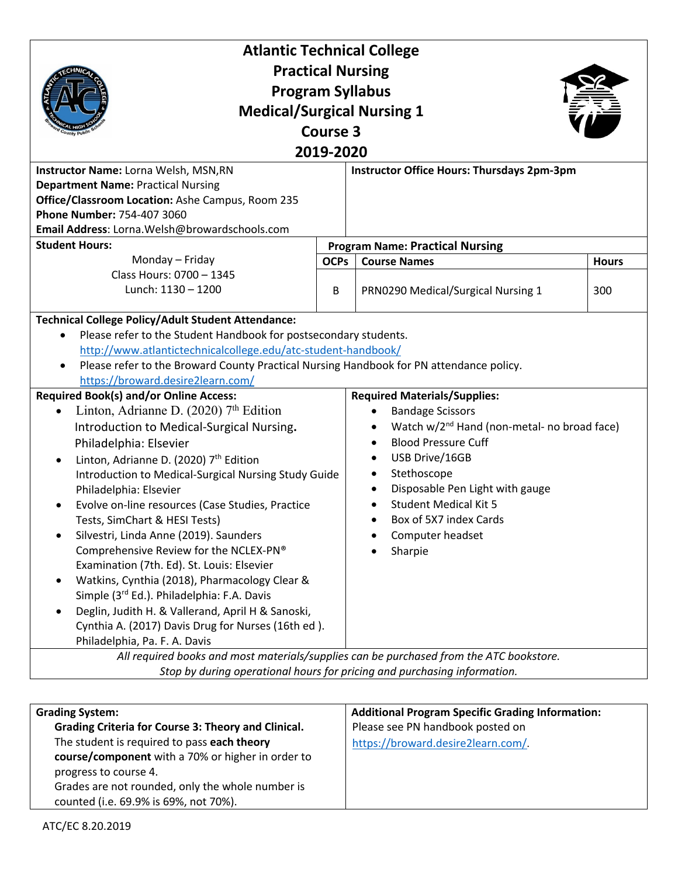| <b>Atlantic Technical College</b>                                                                                                                                                                                                                                                                                                                                                                                                                                                                                                                                                                                                                                                                                                                                                                                             |             |                                                                                                                                                                                                                                                                                                                                                                                                                              |              |  |
|-------------------------------------------------------------------------------------------------------------------------------------------------------------------------------------------------------------------------------------------------------------------------------------------------------------------------------------------------------------------------------------------------------------------------------------------------------------------------------------------------------------------------------------------------------------------------------------------------------------------------------------------------------------------------------------------------------------------------------------------------------------------------------------------------------------------------------|-------------|------------------------------------------------------------------------------------------------------------------------------------------------------------------------------------------------------------------------------------------------------------------------------------------------------------------------------------------------------------------------------------------------------------------------------|--------------|--|
| <b>Practical Nursing</b>                                                                                                                                                                                                                                                                                                                                                                                                                                                                                                                                                                                                                                                                                                                                                                                                      |             |                                                                                                                                                                                                                                                                                                                                                                                                                              |              |  |
| <b>Program Syllabus</b>                                                                                                                                                                                                                                                                                                                                                                                                                                                                                                                                                                                                                                                                                                                                                                                                       |             |                                                                                                                                                                                                                                                                                                                                                                                                                              |              |  |
| <b>Medical/Surgical Nursing 1</b>                                                                                                                                                                                                                                                                                                                                                                                                                                                                                                                                                                                                                                                                                                                                                                                             |             |                                                                                                                                                                                                                                                                                                                                                                                                                              |              |  |
| <b>Course 3</b>                                                                                                                                                                                                                                                                                                                                                                                                                                                                                                                                                                                                                                                                                                                                                                                                               |             |                                                                                                                                                                                                                                                                                                                                                                                                                              |              |  |
| 2019-2020                                                                                                                                                                                                                                                                                                                                                                                                                                                                                                                                                                                                                                                                                                                                                                                                                     |             |                                                                                                                                                                                                                                                                                                                                                                                                                              |              |  |
| Instructor Office Hours: Thursdays 2pm-3pm<br>Instructor Name: Lorna Welsh, MSN, RN                                                                                                                                                                                                                                                                                                                                                                                                                                                                                                                                                                                                                                                                                                                                           |             |                                                                                                                                                                                                                                                                                                                                                                                                                              |              |  |
| <b>Department Name: Practical Nursing</b>                                                                                                                                                                                                                                                                                                                                                                                                                                                                                                                                                                                                                                                                                                                                                                                     |             |                                                                                                                                                                                                                                                                                                                                                                                                                              |              |  |
| Office/Classroom Location: Ashe Campus, Room 235                                                                                                                                                                                                                                                                                                                                                                                                                                                                                                                                                                                                                                                                                                                                                                              |             |                                                                                                                                                                                                                                                                                                                                                                                                                              |              |  |
| Phone Number: 754-407 3060                                                                                                                                                                                                                                                                                                                                                                                                                                                                                                                                                                                                                                                                                                                                                                                                    |             |                                                                                                                                                                                                                                                                                                                                                                                                                              |              |  |
| Email Address: Lorna.Welsh@browardschools.com<br><b>Student Hours:</b>                                                                                                                                                                                                                                                                                                                                                                                                                                                                                                                                                                                                                                                                                                                                                        |             | <b>Program Name: Practical Nursing</b>                                                                                                                                                                                                                                                                                                                                                                                       |              |  |
| Monday - Friday                                                                                                                                                                                                                                                                                                                                                                                                                                                                                                                                                                                                                                                                                                                                                                                                               | <b>OCPs</b> | <b>Course Names</b>                                                                                                                                                                                                                                                                                                                                                                                                          | <b>Hours</b> |  |
| Class Hours: 0700 - 1345                                                                                                                                                                                                                                                                                                                                                                                                                                                                                                                                                                                                                                                                                                                                                                                                      |             |                                                                                                                                                                                                                                                                                                                                                                                                                              |              |  |
| Lunch: 1130 - 1200                                                                                                                                                                                                                                                                                                                                                                                                                                                                                                                                                                                                                                                                                                                                                                                                            | B           | PRN0290 Medical/Surgical Nursing 1                                                                                                                                                                                                                                                                                                                                                                                           | 300          |  |
|                                                                                                                                                                                                                                                                                                                                                                                                                                                                                                                                                                                                                                                                                                                                                                                                                               |             |                                                                                                                                                                                                                                                                                                                                                                                                                              |              |  |
| <b>Technical College Policy/Adult Student Attendance:</b>                                                                                                                                                                                                                                                                                                                                                                                                                                                                                                                                                                                                                                                                                                                                                                     |             |                                                                                                                                                                                                                                                                                                                                                                                                                              |              |  |
| Please refer to the Student Handbook for postsecondary students.                                                                                                                                                                                                                                                                                                                                                                                                                                                                                                                                                                                                                                                                                                                                                              |             |                                                                                                                                                                                                                                                                                                                                                                                                                              |              |  |
| http://www.atlantictechnicalcollege.edu/atc-student-handbook/                                                                                                                                                                                                                                                                                                                                                                                                                                                                                                                                                                                                                                                                                                                                                                 |             |                                                                                                                                                                                                                                                                                                                                                                                                                              |              |  |
| Please refer to the Broward County Practical Nursing Handbook for PN attendance policy.                                                                                                                                                                                                                                                                                                                                                                                                                                                                                                                                                                                                                                                                                                                                       |             |                                                                                                                                                                                                                                                                                                                                                                                                                              |              |  |
| https://broward.desire2learn.com/                                                                                                                                                                                                                                                                                                                                                                                                                                                                                                                                                                                                                                                                                                                                                                                             |             |                                                                                                                                                                                                                                                                                                                                                                                                                              |              |  |
| <b>Required Book(s) and/or Online Access:</b><br>Linton, Adrianne D. (2020) 7th Edition<br>$\bullet$<br>Introduction to Medical-Surgical Nursing.<br>Philadelphia: Elsevier<br>Linton, Adrianne D. (2020) 7th Edition<br>$\bullet$<br>Introduction to Medical-Surgical Nursing Study Guide<br>Philadelphia: Elsevier<br>Evolve on-line resources (Case Studies, Practice<br>$\bullet$<br>Tests, SimChart & HESI Tests)<br>Silvestri, Linda Anne (2019). Saunders<br>Comprehensive Review for the NCLEX-PN®<br>Examination (7th. Ed). St. Louis: Elsevier<br>Watkins, Cynthia (2018), Pharmacology Clear &<br>$\bullet$<br>Simple (3rd Ed.). Philadelphia: F.A. Davis<br>Deglin, Judith H. & Vallerand, April H & Sanoski,<br>$\bullet$<br>Cynthia A. (2017) Davis Drug for Nurses (16th ed).<br>Philadelphia, Pa. F. A. Davis |             | <b>Required Materials/Supplies:</b><br><b>Bandage Scissors</b><br>Watch w/2 <sup>nd</sup> Hand (non-metal- no broad face)<br><b>Blood Pressure Cuff</b><br>USB Drive/16GB<br>Stethoscope<br>$\bullet$<br>Disposable Pen Light with gauge<br><b>Student Medical Kit 5</b><br>Box of 5X7 index Cards<br>Computer headset<br>Sharpie<br>All required books and most materials/supplies can be purchased from the ATC bookstore. |              |  |
| Stop by during operational hours for pricing and purchasing information.                                                                                                                                                                                                                                                                                                                                                                                                                                                                                                                                                                                                                                                                                                                                                      |             |                                                                                                                                                                                                                                                                                                                                                                                                                              |              |  |
|                                                                                                                                                                                                                                                                                                                                                                                                                                                                                                                                                                                                                                                                                                                                                                                                                               |             |                                                                                                                                                                                                                                                                                                                                                                                                                              |              |  |
| <b>Grading System:</b>                                                                                                                                                                                                                                                                                                                                                                                                                                                                                                                                                                                                                                                                                                                                                                                                        |             | <b>Additional Program Specific Grading Information:</b>                                                                                                                                                                                                                                                                                                                                                                      |              |  |
| Grading Criteria for Course 3: Theory and Clinical.                                                                                                                                                                                                                                                                                                                                                                                                                                                                                                                                                                                                                                                                                                                                                                           |             | Please see PN handbook posted on                                                                                                                                                                                                                                                                                                                                                                                             |              |  |
| The student is required to pass each theory                                                                                                                                                                                                                                                                                                                                                                                                                                                                                                                                                                                                                                                                                                                                                                                   |             | https://broward.desire2learn.com/                                                                                                                                                                                                                                                                                                                                                                                            |              |  |
| course/component with a 70% or higher in order to                                                                                                                                                                                                                                                                                                                                                                                                                                                                                                                                                                                                                                                                                                                                                                             |             |                                                                                                                                                                                                                                                                                                                                                                                                                              |              |  |
| progress to course 4.                                                                                                                                                                                                                                                                                                                                                                                                                                                                                                                                                                                                                                                                                                                                                                                                         |             |                                                                                                                                                                                                                                                                                                                                                                                                                              |              |  |
| Grades are not rounded, only the whole number is                                                                                                                                                                                                                                                                                                                                                                                                                                                                                                                                                                                                                                                                                                                                                                              |             |                                                                                                                                                                                                                                                                                                                                                                                                                              |              |  |

ATC/EC 8.20.2019

counted (i.e. 69.9% is 69%, not 70%).